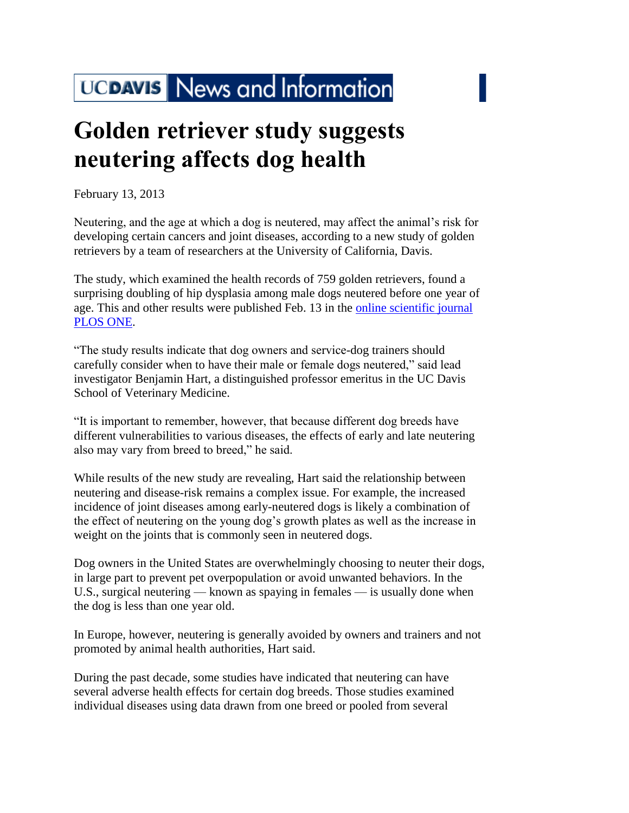## UCDAVIS News and Information

## **Golden retriever study suggests neutering affects dog health**

February 13, 2013

Neutering, and the age at which a dog is neutered, may affect the animal's risk for developing certain cancers and joint diseases, according to a new study of golden retrievers by a team of researchers at the University of California, Davis.

The study, which examined the health records of 759 golden retrievers, found a surprising doubling of hip dysplasia among male dogs neutered before one year of age. This and other results were published Feb. 13 in the [online scientific journal](http://dx.plos.org/10.1371/journal.pone.0055937)  [PLOS ONE.](http://dx.plos.org/10.1371/journal.pone.0055937)

"The study results indicate that dog owners and service-dog trainers should carefully consider when to have their male or female dogs neutered," said lead investigator Benjamin Hart, a distinguished professor emeritus in the UC Davis School of Veterinary Medicine.

"It is important to remember, however, that because different dog breeds have different vulnerabilities to various diseases, the effects of early and late neutering also may vary from breed to breed," he said.

While results of the new study are revealing, Hart said the relationship between neutering and disease-risk remains a complex issue. For example, the increased incidence of joint diseases among early-neutered dogs is likely a combination of the effect of neutering on the young dog's growth plates as well as the increase in weight on the joints that is commonly seen in neutered dogs.

Dog owners in the United States are overwhelmingly choosing to neuter their dogs, in large part to prevent pet overpopulation or avoid unwanted behaviors. In the U.S., surgical neutering — known as spaying in females — is usually done when the dog is less than one year old.

In Europe, however, neutering is generally avoided by owners and trainers and not promoted by animal health authorities, Hart said.

During the past decade, some studies have indicated that neutering can have several adverse health effects for certain dog breeds. Those studies examined individual diseases using data drawn from one breed or pooled from several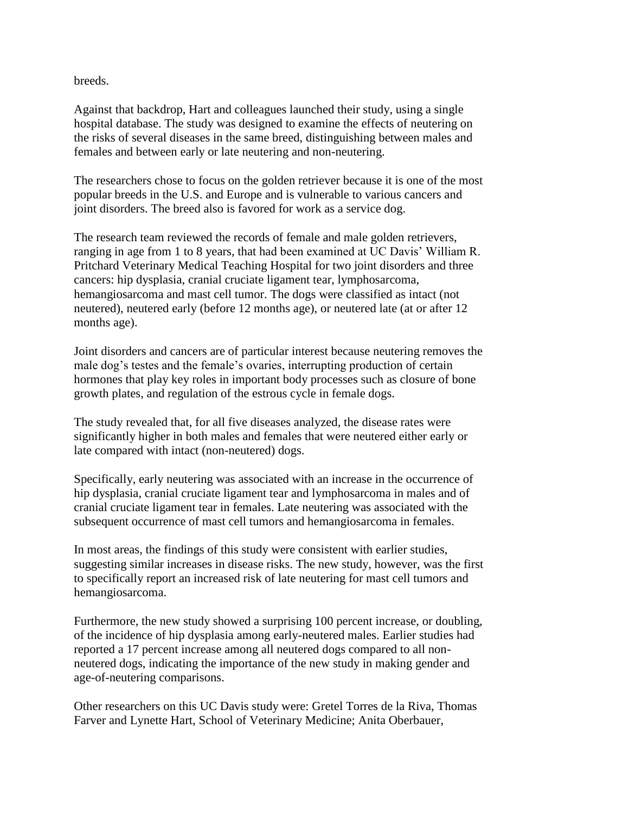breeds.

Against that backdrop, Hart and colleagues launched their study, using a single hospital database. The study was designed to examine the effects of neutering on the risks of several diseases in the same breed, distinguishing between males and females and between early or late neutering and non-neutering.

The researchers chose to focus on the golden retriever because it is one of the most popular breeds in the U.S. and Europe and is vulnerable to various cancers and joint disorders. The breed also is favored for work as a service dog.

The research team reviewed the records of female and male golden retrievers, ranging in age from 1 to 8 years, that had been examined at UC Davis' William R. Pritchard Veterinary Medical Teaching Hospital for two joint disorders and three cancers: hip dysplasia, cranial cruciate ligament tear, lymphosarcoma, hemangiosarcoma and mast cell tumor. The dogs were classified as intact (not neutered), neutered early (before 12 months age), or neutered late (at or after 12 months age).

Joint disorders and cancers are of particular interest because neutering removes the male dog's testes and the female's ovaries, interrupting production of certain hormones that play key roles in important body processes such as closure of bone growth plates, and regulation of the estrous cycle in female dogs.

The study revealed that, for all five diseases analyzed, the disease rates were significantly higher in both males and females that were neutered either early or late compared with intact (non-neutered) dogs.

Specifically, early neutering was associated with an increase in the occurrence of hip dysplasia, cranial cruciate ligament tear and lymphosarcoma in males and of cranial cruciate ligament tear in females. Late neutering was associated with the subsequent occurrence of mast cell tumors and hemangiosarcoma in females.

In most areas, the findings of this study were consistent with earlier studies, suggesting similar increases in disease risks. The new study, however, was the first to specifically report an increased risk of late neutering for mast cell tumors and hemangiosarcoma.

Furthermore, the new study showed a surprising 100 percent increase, or doubling, of the incidence of hip dysplasia among early-neutered males. Earlier studies had reported a 17 percent increase among all neutered dogs compared to all nonneutered dogs, indicating the importance of the new study in making gender and age-of-neutering comparisons.

Other researchers on this UC Davis study were: Gretel Torres de la Riva, Thomas Farver and Lynette Hart, School of Veterinary Medicine; Anita Oberbauer,